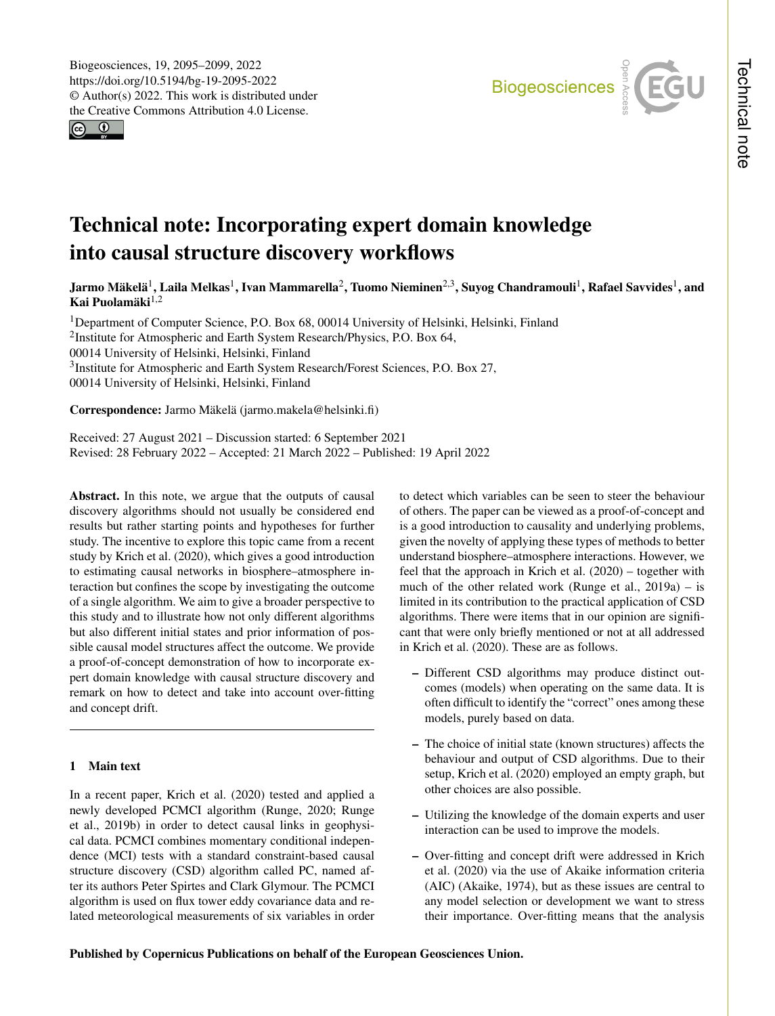$\circledcirc$ 



# Technical note: Incorporating expert domain knowledge into causal structure discovery workflows

Jarmo Mäkelä $^1$  $^1$ , Laila Melkas $^1$ , Ivan Mammarella $^2$  $^2$ , Tuomo Nieminen $^{2,3}$  $^{2,3}$  $^{2,3}$ , Suyog Chandramouli $^1$ , Rafael Savvides $^1$ , and Kai Puolamäki $^{1,2}$  $^{1,2}$  $^{1,2}$ 

<sup>1</sup>Department of Computer Science, P.O. Box 68, 00014 University of Helsinki, Helsinki, Finland <sup>2</sup>Institute for Atmospheric and Earth System Research/Physics, P.O. Box 64, 00014 University of Helsinki, Helsinki, Finland <sup>3</sup>Institute for Atmospheric and Earth System Research/Forest Sciences, P.O. Box 27, 00014 University of Helsinki, Helsinki, Finland

Correspondence: Jarmo Mäkelä (jarmo.makela@helsinki.fi)

Received: 27 August 2021 – Discussion started: 6 September 2021 Revised: 28 February 2022 – Accepted: 21 March 2022 – Published: 19 April 2022

<span id="page-0-0"></span>Abstract. In this note, we argue that the outputs of causal discovery algorithms should not usually be considered end results but rather starting points and hypotheses for further study. The incentive to explore this topic came from a recent study by [Krich et al.](#page-4-0) [\(2020\)](#page-4-0), which gives a good introduction to estimating causal networks in biosphere–atmosphere interaction but confines the scope by investigating the outcome of a single algorithm. We aim to give a broader perspective to this study and to illustrate how not only different algorithms but also different initial states and prior information of possible causal model structures affect the outcome. We provide a proof-of-concept demonstration of how to incorporate expert domain knowledge with causal structure discovery and remark on how to detect and take into account over-fitting and concept drift.

# 1 Main text

In a recent paper, [Krich et al.](#page-4-0) [\(2020\)](#page-4-0) tested and applied a newly developed PCMCI algorithm [\(Runge,](#page-4-1) [2020;](#page-4-1) [Runge](#page-4-2) [et al.,](#page-4-2) [2019b\)](#page-4-2) in order to detect causal links in geophysical data. PCMCI combines momentary conditional independence (MCI) tests with a standard constraint-based causal structure discovery (CSD) algorithm called PC, named after its authors Peter Spirtes and Clark Glymour. The PCMCI algorithm is used on flux tower eddy covariance data and related meteorological measurements of six variables in order to detect which variables can be seen to steer the behaviour of others. The paper can be viewed as a proof-of-concept and is a good introduction to causality and underlying problems, given the novelty of applying these types of methods to better understand biosphere–atmosphere interactions. However, we feel that the approach in [Krich et al.](#page-4-0) [\(2020\)](#page-4-0) – together with much of the other related work [\(Runge et al.,](#page-4-3) [2019a\)](#page-4-3) – is limited in its contribution to the practical application of CSD algorithms. There were items that in our opinion are significant that were only briefly mentioned or not at all addressed in [Krich et al.](#page-4-0) [\(2020\)](#page-4-0). These are as follows.

- Different CSD algorithms may produce distinct outcomes (models) when operating on the same data. It is often difficult to identify the "correct" ones among these models, purely based on data.
- The choice of initial state (known structures) affects the behaviour and output of CSD algorithms. Due to their setup, [Krich et al.](#page-4-0) [\(2020\)](#page-4-0) employed an empty graph, but other choices are also possible.
- Utilizing the knowledge of the domain experts and user interaction can be used to improve the models.
- Over-fitting and concept drift were addressed in [Krich](#page-4-0) [et al.](#page-4-0) [\(2020\)](#page-4-0) via the use of Akaike information criteria (AIC) [\(Akaike,](#page-4-4) [1974\)](#page-4-4), but as these issues are central to any model selection or development we want to stress their importance. Over-fitting means that the analysis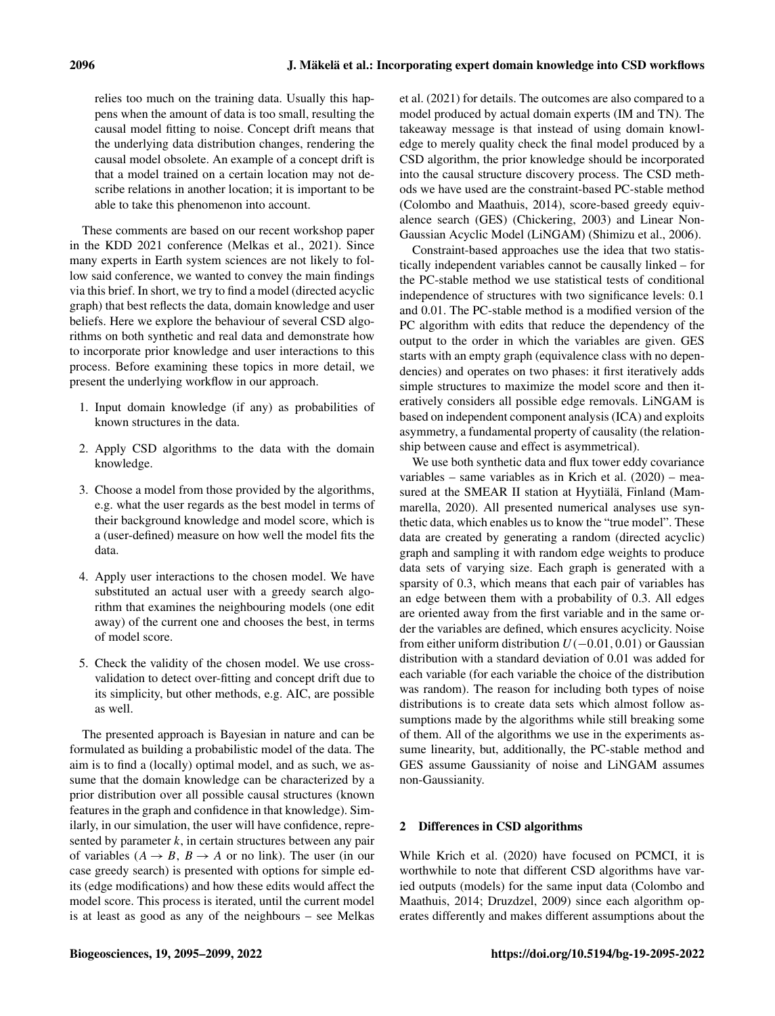relies too much on the training data. Usually this happens when the amount of data is too small, resulting the causal model fitting to noise. Concept drift means that the underlying data distribution changes, rendering the causal model obsolete. An example of a concept drift is that a model trained on a certain location may not describe relations in another location; it is important to be able to take this phenomenon into account.

These comments are based on our recent workshop paper in the KDD 2021 conference [\(Melkas et al.,](#page-4-5) [2021\)](#page-4-5). Since many experts in Earth system sciences are not likely to follow said conference, we wanted to convey the main findings via this brief. In short, we try to find a model (directed acyclic graph) that best reflects the data, domain knowledge and user beliefs. Here we explore the behaviour of several CSD algorithms on both synthetic and real data and demonstrate how to incorporate prior knowledge and user interactions to this process. Before examining these topics in more detail, we present the underlying workflow in our approach.

- 1. Input domain knowledge (if any) as probabilities of known structures in the data.
- 2. Apply CSD algorithms to the data with the domain knowledge.
- 3. Choose a model from those provided by the algorithms, e.g. what the user regards as the best model in terms of their background knowledge and model score, which is a (user-defined) measure on how well the model fits the data.
- 4. Apply user interactions to the chosen model. We have substituted an actual user with a greedy search algorithm that examines the neighbouring models (one edit away) of the current one and chooses the best, in terms of model score.
- 5. Check the validity of the chosen model. We use crossvalidation to detect over-fitting and concept drift due to its simplicity, but other methods, e.g. AIC, are possible as well.

The presented approach is Bayesian in nature and can be formulated as building a probabilistic model of the data. The aim is to find a (locally) optimal model, and as such, we assume that the domain knowledge can be characterized by a prior distribution over all possible causal structures (known features in the graph and confidence in that knowledge). Similarly, in our simulation, the user will have confidence, represented by parameter  $k$ , in certain structures between any pair of variables  $(A \rightarrow B, B \rightarrow A$  or no link). The user (in our case greedy search) is presented with options for simple edits (edge modifications) and how these edits would affect the model score. This process is iterated, until the current model is at least as good as any of the neighbours – see [Melkas](#page-4-5) [et al.](#page-4-5) [\(2021\)](#page-4-5) for details. The outcomes are also compared to a model produced by actual domain experts (IM and TN). The takeaway message is that instead of using domain knowledge to merely quality check the final model produced by a CSD algorithm, the prior knowledge should be incorporated into the causal structure discovery process. The CSD methods we have used are the constraint-based PC-stable method [\(Colombo and Maathuis,](#page-4-6) [2014\)](#page-4-6), score-based greedy equivalence search (GES) [\(Chickering,](#page-4-7) [2003\)](#page-4-7) and Linear Non-Gaussian Acyclic Model (LiNGAM) [\(Shimizu et al.,](#page-4-8) [2006\)](#page-4-8).

Constraint-based approaches use the idea that two statistically independent variables cannot be causally linked – for the PC-stable method we use statistical tests of conditional independence of structures with two significance levels: 0.1 and 0.01. The PC-stable method is a modified version of the PC algorithm with edits that reduce the dependency of the output to the order in which the variables are given. GES starts with an empty graph (equivalence class with no dependencies) and operates on two phases: it first iteratively adds simple structures to maximize the model score and then iteratively considers all possible edge removals. LiNGAM is based on independent component analysis (ICA) and exploits asymmetry, a fundamental property of causality (the relationship between cause and effect is asymmetrical).

We use both synthetic data and flux tower eddy covariance variables – same variables as in [Krich et al.](#page-4-0) [\(2020\)](#page-4-0) – measured at the SMEAR II station at Hyytiälä, Finland [\(Mam](#page-4-9)[marella,](#page-4-9) [2020\)](#page-4-9). All presented numerical analyses use synthetic data, which enables us to know the "true model". These data are created by generating a random (directed acyclic) graph and sampling it with random edge weights to produce data sets of varying size. Each graph is generated with a sparsity of 0.3, which means that each pair of variables has an edge between them with a probability of 0.3. All edges are oriented away from the first variable and in the same order the variables are defined, which ensures acyclicity. Noise from either uniform distribution  $U(-0.01,0.01)$  or Gaussian distribution with a standard deviation of 0.01 was added for each variable (for each variable the choice of the distribution was random). The reason for including both types of noise distributions is to create data sets which almost follow assumptions made by the algorithms while still breaking some of them. All of the algorithms we use in the experiments assume linearity, but, additionally, the PC-stable method and GES assume Gaussianity of noise and LiNGAM assumes non-Gaussianity.

# 2 Differences in CSD algorithms

While [Krich et al.](#page-4-0) [\(2020\)](#page-4-0) have focused on PCMCI, it is worthwhile to note that different CSD algorithms have varied outputs (models) for the same input data [\(Colombo and](#page-4-6) [Maathuis,](#page-4-6) [2014;](#page-4-6) [Druzdzel,](#page-4-10) [2009\)](#page-4-10) since each algorithm operates differently and makes different assumptions about the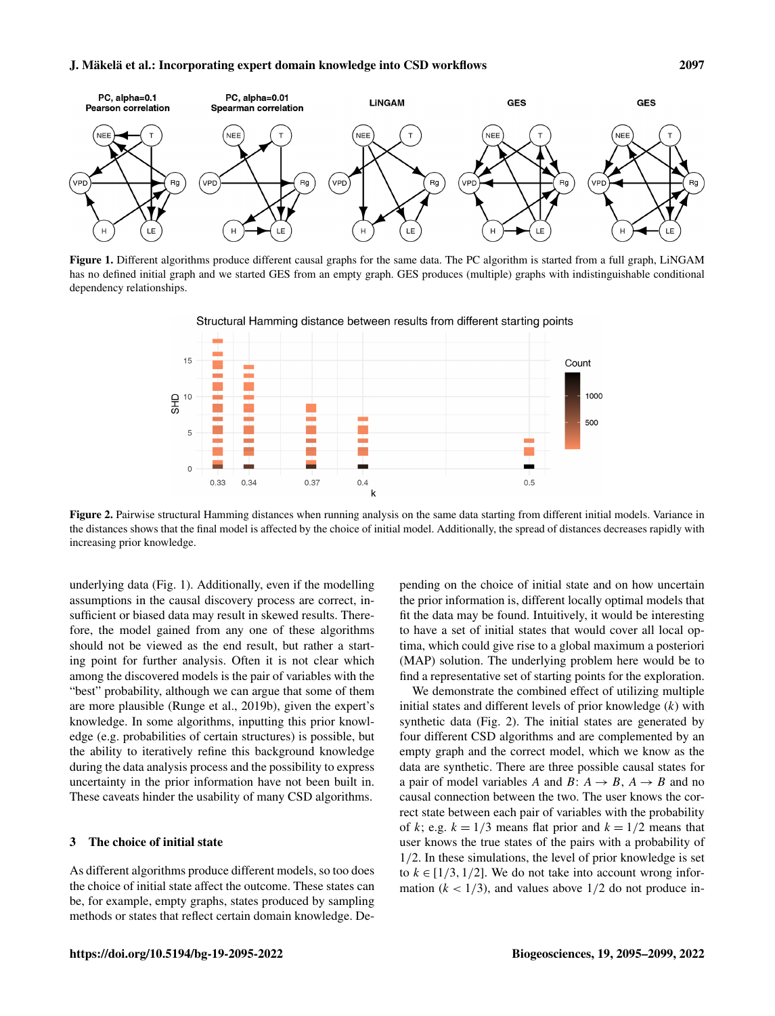<span id="page-2-0"></span>

<span id="page-2-1"></span>Figure 1. Different algorithms produce different causal graphs for the same data. The PC algorithm is started from a full graph, LiNGAM has no defined initial graph and we started GES from an empty graph. GES produces (multiple) graphs with indistinguishable conditional dependency relationships.



Structural Hamming distance between results from different starting points

Figure 2. Pairwise structural Hamming distances when running analysis on the same data starting from different initial models. Variance in the distances shows that the final model is affected by the choice of initial model. Additionally, the spread of distances decreases rapidly with increasing prior knowledge.

 $0.4$ 

 $\mathbf k$ 

underlying data (Fig. [1\)](#page-2-0). Additionally, even if the modelling assumptions in the causal discovery process are correct, insufficient or biased data may result in skewed results. Therefore, the model gained from any one of these algorithms should not be viewed as the end result, but rather a starting point for further analysis. Often it is not clear which among the discovered models is the pair of variables with the "best" probability, although we can argue that some of them are more plausible [\(Runge et al.,](#page-4-2) [2019b\)](#page-4-2), given the expert's knowledge. In some algorithms, inputting this prior knowledge (e.g. probabilities of certain structures) is possible, but the ability to iteratively refine this background knowledge during the data analysis process and the possibility to express uncertainty in the prior information have not been built in. These caveats hinder the usability of many CSD algorithms.

 $\overline{F}$ 

 $\circ$ 

 $0.33$ 

 $0.34$ 

 $0.37$ 

## 3 The choice of initial state

As different algorithms produce different models, so too does the choice of initial state affect the outcome. These states can be, for example, empty graphs, states produced by sampling methods or states that reflect certain domain knowledge. Depending on the choice of initial state and on how uncertain the prior information is, different locally optimal models that fit the data may be found. Intuitively, it would be interesting to have a set of initial states that would cover all local optima, which could give rise to a global maximum a posteriori (MAP) solution. The underlying problem here would be to find a representative set of starting points for the exploration.

œ

 $0.5$ 

500

We demonstrate the combined effect of utilizing multiple initial states and different levels of prior knowledge  $(k)$  with synthetic data (Fig. [2\)](#page-2-1). The initial states are generated by four different CSD algorithms and are complemented by an empty graph and the correct model, which we know as the data are synthetic. There are three possible causal states for a pair of model variables A and B:  $A \rightarrow B$ ,  $A \rightarrow B$  and no causal connection between the two. The user knows the correct state between each pair of variables with the probability of k; e.g.  $k = 1/3$  means flat prior and  $k = 1/2$  means that user knows the true states of the pairs with a probability of 1/2. In these simulations, the level of prior knowledge is set to  $k \in [1/3, 1/2]$ . We do not take into account wrong information ( $k < 1/3$ ), and values above 1/2 do not produce in-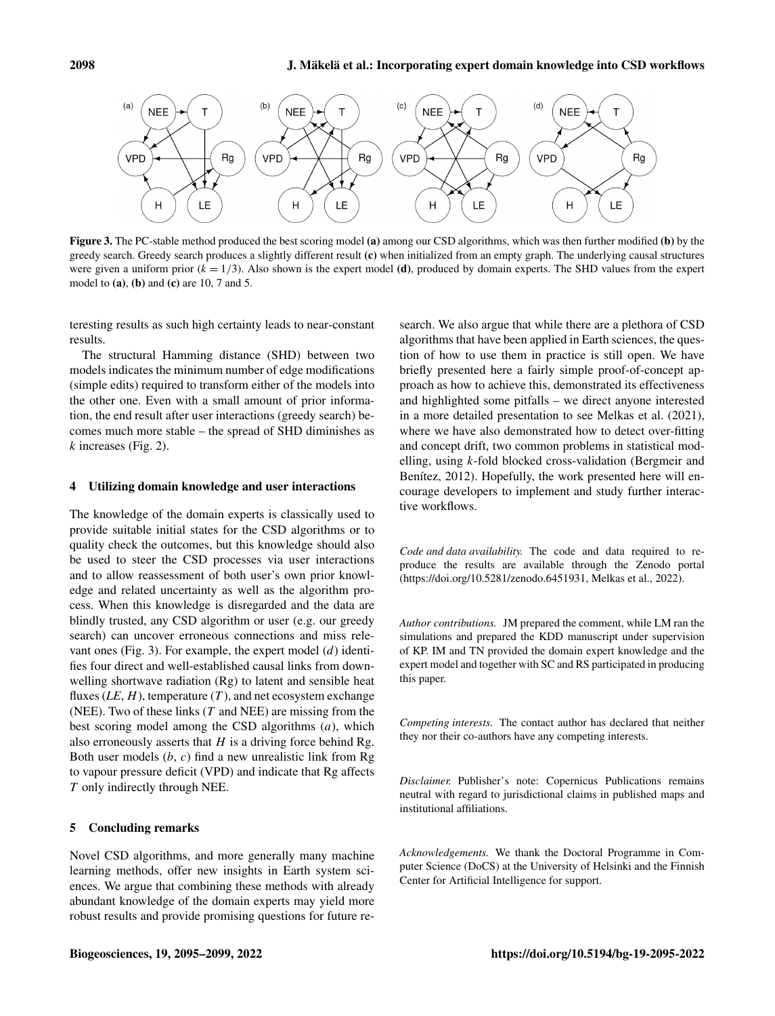<span id="page-3-0"></span>

Figure 3. The PC-stable method produced the best scoring model (a) among our CSD algorithms, which was then further modified (b) by the greedy search. Greedy search produces a slightly different result (c) when initialized from an empty graph. The underlying causal structures were given a uniform prior  $(k = 1/3)$ . Also shown is the expert model (d), produced by domain experts. The SHD values from the expert model to  $(a)$ ,  $(b)$  and  $(c)$  are 10, 7 and 5.

teresting results as such high certainty leads to near-constant results.

The structural Hamming distance (SHD) between two models indicates the minimum number of edge modifications (simple edits) required to transform either of the models into the other one. Even with a small amount of prior information, the end result after user interactions (greedy search) becomes much more stable – the spread of SHD diminishes as  $k$  increases (Fig. [2\)](#page-2-1).

#### 4 Utilizing domain knowledge and user interactions

The knowledge of the domain experts is classically used to provide suitable initial states for the CSD algorithms or to quality check the outcomes, but this knowledge should also be used to steer the CSD processes via user interactions and to allow reassessment of both user's own prior knowledge and related uncertainty as well as the algorithm process. When this knowledge is disregarded and the data are blindly trusted, any CSD algorithm or user (e.g. our greedy search) can uncover erroneous connections and miss rele-vant ones (Fig. [3\)](#page-3-0). For example, the expert model  $(d)$  identifies four direct and well-established causal links from downwelling shortwave radiation (Rg) to latent and sensible heat fluxes  $(LE, H)$ , temperature  $(T)$ , and net ecosystem exchange (NEE). Two of these links  $(T \text{ and NEE})$  are missing from the best scoring model among the CSD algorithms  $(a)$ , which also erroneously asserts that  $H$  is a driving force behind Rg. Both user models  $(b, c)$  find a new unrealistic link from Rg to vapour pressure deficit (VPD) and indicate that Rg affects T only indirectly through NEE.

#### 5 Concluding remarks

Novel CSD algorithms, and more generally many machine learning methods, offer new insights in Earth system sciences. We argue that combining these methods with already abundant knowledge of the domain experts may yield more robust results and provide promising questions for future research. We also argue that while there are a plethora of CSD algorithms that have been applied in Earth sciences, the question of how to use them in practice is still open. We have briefly presented here a fairly simple proof-of-concept approach as how to achieve this, demonstrated its effectiveness and highlighted some pitfalls – we direct anyone interested in a more detailed presentation to see [Melkas et al.](#page-4-5) [\(2021\)](#page-4-5), where we have also demonstrated how to detect over-fitting and concept drift, two common problems in statistical modelling, using k-fold blocked cross-validation [\(Bergmeir and](#page-4-11) [Benítez,](#page-4-11) [2012\)](#page-4-11). Hopefully, the work presented here will encourage developers to implement and study further interactive workflows.

*Code and data availability.* The code and data required to reproduce the results are available through the Zenodo portal (https://doi.org[/10.5281/zenodo.6451931,](https://doi.org/10.5281/zenodo.6451931) [Melkas et al.,](#page-4-12) [2022\)](#page-4-12).

*Author contributions.* JM prepared the comment, while LM ran the simulations and prepared the KDD manuscript under supervision of KP. IM and TN provided the domain expert knowledge and the expert model and together with SC and RS participated in producing this paper.

*Competing interests.* The contact author has declared that neither they nor their co-authors have any competing interests.

*Disclaimer.* Publisher's note: Copernicus Publications remains neutral with regard to jurisdictional claims in published maps and institutional affiliations.

*Acknowledgements.* We thank the Doctoral Programme in Computer Science (DoCS) at the University of Helsinki and the Finnish Center for Artificial Intelligence for support.